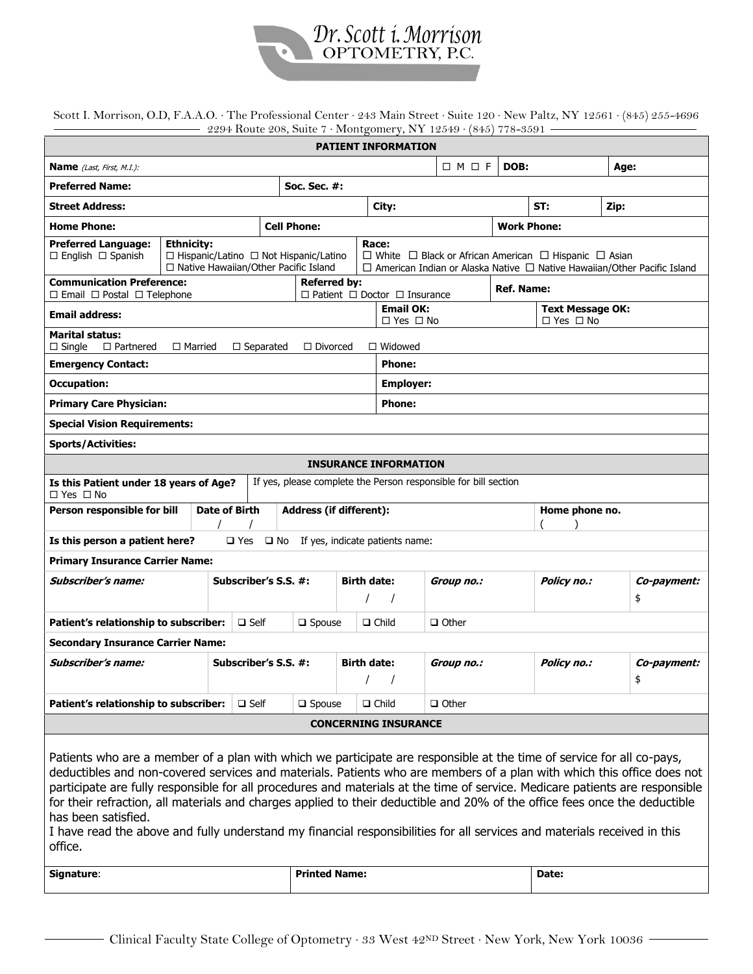

Scott I. Morrison, O.D, F.A.A.O. ∙ The Professional Center ∙ 243 Main Street ∙ Suite 120 ∙ New Paltz, NY 12561 ∙ (845) 255-4696 2294 Route 208, Suite 7 ∙ Montgomery, NY 12549 ∙ (845) 778-3591

| <b>PATIENT INFORMATION</b>                                                                                                                                                                                                                                                                                                                                                                                                                                                                                                                                                                                                                                                  |                                                                                                                                                                                                                                                                                           |                      |                                                      |                      |                                               |                       |                    |                                                 |                   |  |  |  |  |
|-----------------------------------------------------------------------------------------------------------------------------------------------------------------------------------------------------------------------------------------------------------------------------------------------------------------------------------------------------------------------------------------------------------------------------------------------------------------------------------------------------------------------------------------------------------------------------------------------------------------------------------------------------------------------------|-------------------------------------------------------------------------------------------------------------------------------------------------------------------------------------------------------------------------------------------------------------------------------------------|----------------------|------------------------------------------------------|----------------------|-----------------------------------------------|-----------------------|--------------------|-------------------------------------------------|-------------------|--|--|--|--|
| <b>Name</b> ( <i>Last, First, M.I.):</i>                                                                                                                                                                                                                                                                                                                                                                                                                                                                                                                                                                                                                                    |                                                                                                                                                                                                                                                                                           |                      |                                                      |                      |                                               | $\Box$ $M$ $\Box$ $F$ | DOB:               |                                                 | Age:              |  |  |  |  |
| <b>Preferred Name:</b>                                                                                                                                                                                                                                                                                                                                                                                                                                                                                                                                                                                                                                                      |                                                                                                                                                                                                                                                                                           |                      | <b>Soc. Sec. #:</b>                                  |                      |                                               |                       |                    |                                                 |                   |  |  |  |  |
| <b>Street Address:</b>                                                                                                                                                                                                                                                                                                                                                                                                                                                                                                                                                                                                                                                      |                                                                                                                                                                                                                                                                                           |                      |                                                      |                      | City:                                         |                       |                    | ST:                                             | Zip:              |  |  |  |  |
| <b>Home Phone:</b>                                                                                                                                                                                                                                                                                                                                                                                                                                                                                                                                                                                                                                                          |                                                                                                                                                                                                                                                                                           |                      | <b>Cell Phone:</b>                                   |                      |                                               |                       | <b>Work Phone:</b> |                                                 |                   |  |  |  |  |
| <b>Preferred Language:</b><br>$\Box$ English $\Box$ Spanish                                                                                                                                                                                                                                                                                                                                                                                                                                                                                                                                                                                                                 | <b>Ethnicity:</b><br>Race:<br>□ Hispanic/Latino □ Not Hispanic/Latino<br>$\Box$ White $\Box$ Black or African American $\Box$ Hispanic $\Box$ Asian<br>$\Box$ American Indian or Alaska Native $\Box$ Native Hawaiian/Other Pacific Island<br>$\Box$ Native Hawaiian/Other Pacific Island |                      |                                                      |                      |                                               |                       |                    |                                                 |                   |  |  |  |  |
| <b>Communication Preference:</b><br>$\Box$ Email $\Box$ Postal $\Box$ Telephone                                                                                                                                                                                                                                                                                                                                                                                                                                                                                                                                                                                             |                                                                                                                                                                                                                                                                                           |                      | <b>Referred by:</b>                                  |                      | $\Box$ Patient $\Box$ Doctor $\Box$ Insurance |                       | <b>Ref. Name:</b>  |                                                 |                   |  |  |  |  |
| <b>Email address:</b>                                                                                                                                                                                                                                                                                                                                                                                                                                                                                                                                                                                                                                                       |                                                                                                                                                                                                                                                                                           |                      |                                                      |                      | <b>Email OK:</b><br>$\Box$ Yes $\Box$ No      |                       |                    | <b>Text Message OK:</b><br>$\Box$ Yes $\Box$ No |                   |  |  |  |  |
| <b>Marital status:</b><br>$\Box$ Single<br>$\Box$ Partnered<br>$\Box$ Divorced<br>$\Box$ Widowed<br>$\Box$ Married<br>$\Box$ Separated                                                                                                                                                                                                                                                                                                                                                                                                                                                                                                                                      |                                                                                                                                                                                                                                                                                           |                      |                                                      |                      |                                               |                       |                    |                                                 |                   |  |  |  |  |
| <b>Emergency Contact:</b>                                                                                                                                                                                                                                                                                                                                                                                                                                                                                                                                                                                                                                                   |                                                                                                                                                                                                                                                                                           |                      | <b>Phone:</b>                                        |                      |                                               |                       |                    |                                                 |                   |  |  |  |  |
| <b>Occupation:</b>                                                                                                                                                                                                                                                                                                                                                                                                                                                                                                                                                                                                                                                          |                                                                                                                                                                                                                                                                                           |                      |                                                      |                      | <b>Employer:</b>                              |                       |                    |                                                 |                   |  |  |  |  |
| <b>Primary Care Physician:</b>                                                                                                                                                                                                                                                                                                                                                                                                                                                                                                                                                                                                                                              |                                                                                                                                                                                                                                                                                           |                      |                                                      |                      | <b>Phone:</b>                                 |                       |                    |                                                 |                   |  |  |  |  |
| <b>Special Vision Requirements:</b>                                                                                                                                                                                                                                                                                                                                                                                                                                                                                                                                                                                                                                         |                                                                                                                                                                                                                                                                                           |                      |                                                      |                      |                                               |                       |                    |                                                 |                   |  |  |  |  |
| <b>Sports/Activities:</b>                                                                                                                                                                                                                                                                                                                                                                                                                                                                                                                                                                                                                                                   |                                                                                                                                                                                                                                                                                           |                      |                                                      |                      |                                               |                       |                    |                                                 |                   |  |  |  |  |
| <b>INSURANCE INFORMATION</b>                                                                                                                                                                                                                                                                                                                                                                                                                                                                                                                                                                                                                                                |                                                                                                                                                                                                                                                                                           |                      |                                                      |                      |                                               |                       |                    |                                                 |                   |  |  |  |  |
| If yes, please complete the Person responsible for bill section<br>Is this Patient under 18 years of Age?<br>$\Box$ Yes $\Box$ No                                                                                                                                                                                                                                                                                                                                                                                                                                                                                                                                           |                                                                                                                                                                                                                                                                                           |                      |                                                      |                      |                                               |                       |                    |                                                 |                   |  |  |  |  |
| Person responsible for bill                                                                                                                                                                                                                                                                                                                                                                                                                                                                                                                                                                                                                                                 | <b>Address (if different):</b>                                                                                                                                                                                                                                                            |                      | Home phone no.                                       |                      |                                               |                       |                    |                                                 |                   |  |  |  |  |
| Is this person a patient here?                                                                                                                                                                                                                                                                                                                                                                                                                                                                                                                                                                                                                                              |                                                                                                                                                                                                                                                                                           |                      | $\Box$ Yes $\Box$ No If yes, indicate patients name: |                      |                                               |                       |                    |                                                 |                   |  |  |  |  |
| <b>Primary Insurance Carrier Name:</b>                                                                                                                                                                                                                                                                                                                                                                                                                                                                                                                                                                                                                                      |                                                                                                                                                                                                                                                                                           |                      |                                                      |                      |                                               |                       |                    |                                                 |                   |  |  |  |  |
| <b>Subscriber's name:</b><br>Subscriber's S.S. #:                                                                                                                                                                                                                                                                                                                                                                                                                                                                                                                                                                                                                           |                                                                                                                                                                                                                                                                                           |                      | <b>Birth date:</b><br>$\prime$                       |                      | Group no.:                                    |                       | <b>Policy no.:</b> | Co-payment:<br>\$                               |                   |  |  |  |  |
| Patient's relationship to subscriber:<br>$\square$ Self                                                                                                                                                                                                                                                                                                                                                                                                                                                                                                                                                                                                                     |                                                                                                                                                                                                                                                                                           |                      | $\square$ Spouse                                     |                      | $\Box$ Child<br>$\Box$ Other                  |                       |                    |                                                 |                   |  |  |  |  |
| <b>Secondary Insurance Carrier Name:</b>                                                                                                                                                                                                                                                                                                                                                                                                                                                                                                                                                                                                                                    |                                                                                                                                                                                                                                                                                           |                      |                                                      |                      |                                               |                       |                    |                                                 |                   |  |  |  |  |
| <b>Subscriber's name:</b>                                                                                                                                                                                                                                                                                                                                                                                                                                                                                                                                                                                                                                                   |                                                                                                                                                                                                                                                                                           | Subscriber's S.S. #: |                                                      | <b>Birth date:</b>   |                                               | Group no.:            |                    | Policy no.:                                     | Co-payment:<br>\$ |  |  |  |  |
| Patient's relationship to subscriber:                                                                                                                                                                                                                                                                                                                                                                                                                                                                                                                                                                                                                                       |                                                                                                                                                                                                                                                                                           | $\square$ Self       | $\square$ Spouse                                     |                      | $\Box$ Child<br>$\Box$ Other                  |                       |                    |                                                 |                   |  |  |  |  |
|                                                                                                                                                                                                                                                                                                                                                                                                                                                                                                                                                                                                                                                                             |                                                                                                                                                                                                                                                                                           |                      |                                                      |                      | <b>CONCERNING INSURANCE</b>                   |                       |                    |                                                 |                   |  |  |  |  |
| Patients who are a member of a plan with which we participate are responsible at the time of service for all co-pays,<br>deductibles and non-covered services and materials. Patients who are members of a plan with which this office does not<br>participate are fully responsible for all procedures and materials at the time of service. Medicare patients are responsible<br>for their refraction, all materials and charges applied to their deductible and 20% of the office fees once the deductible<br>has been satisfied.<br>I have read the above and fully understand my financial responsibilities for all services and materials received in this<br>office. |                                                                                                                                                                                                                                                                                           |                      |                                                      |                      |                                               |                       |                    |                                                 |                   |  |  |  |  |
| Signature:                                                                                                                                                                                                                                                                                                                                                                                                                                                                                                                                                                                                                                                                  |                                                                                                                                                                                                                                                                                           |                      |                                                      | <b>Printed Name:</b> |                                               |                       |                    | Date:                                           |                   |  |  |  |  |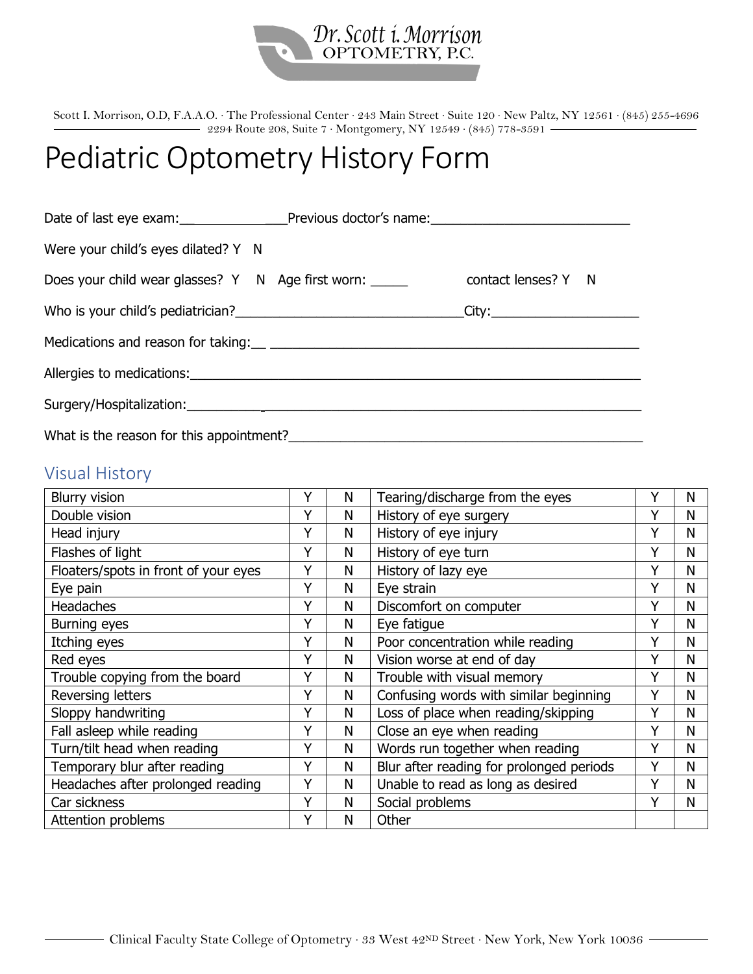

Scott I. Morrison, O.D, F.A.A.O. ∙ The Professional Center ∙ 243 Main Street ∙ Suite 120 ∙ New Paltz, NY 12561 ∙ (845) 255-4696 2294 Route 208, Suite 7 ∙ Montgomery, NY 12549 ∙ (845) 778-3591

## Pediatric Optometry History Form

| Were your child's eyes dilated? Y N                                                                  |  |  |  |  |  |  |  |  |
|------------------------------------------------------------------------------------------------------|--|--|--|--|--|--|--|--|
|                                                                                                      |  |  |  |  |  |  |  |  |
| Who is your child's pediatrician?___________________________________City:___________________________ |  |  |  |  |  |  |  |  |
|                                                                                                      |  |  |  |  |  |  |  |  |
|                                                                                                      |  |  |  |  |  |  |  |  |
|                                                                                                      |  |  |  |  |  |  |  |  |
| What is the reason for this appointment?                                                             |  |  |  |  |  |  |  |  |

## Visual History

| <b>Blurry vision</b>                 |   | N | Tearing/discharge from the eyes          | Y | N |
|--------------------------------------|---|---|------------------------------------------|---|---|
| Double vision                        | Y | Ν | History of eye surgery                   | Y | N |
| Head injury                          | Y | N | History of eye injury                    | Y | N |
| Flashes of light                     | Y | N | History of eye turn                      | Y | N |
| Floaters/spots in front of your eyes | Υ | N | History of lazy eye                      | Υ | N |
| Eye pain                             | Υ | N | Eye strain                               | Y | N |
| <b>Headaches</b>                     | Y | N | Discomfort on computer                   | Y | N |
| <b>Burning eyes</b>                  | Y | N | Eye fatigue                              | Y | N |
| Itching eyes                         | Y | Ν | Poor concentration while reading         | Y | N |
| Red eyes                             | Y | N | Vision worse at end of day               | Y | N |
| Trouble copying from the board       | Υ | N | Trouble with visual memory               | Y | N |
| Reversing letters                    | Y | N | Confusing words with similar beginning   | Y | N |
| Sloppy handwriting                   | Y | Ν | Loss of place when reading/skipping      | Y | N |
| Fall asleep while reading            | Y | Ν | Close an eye when reading                | Y | N |
| Turn/tilt head when reading          | Y | Ν | Words run together when reading          | Y | N |
| Temporary blur after reading         | Υ | N | Blur after reading for prolonged periods | Υ | N |
| Headaches after prolonged reading    | Y | N | Unable to read as long as desired        | Υ | N |
| Car sickness                         | Y | N | Social problems                          | Y | N |
| Attention problems                   | Υ | N | Other                                    |   |   |